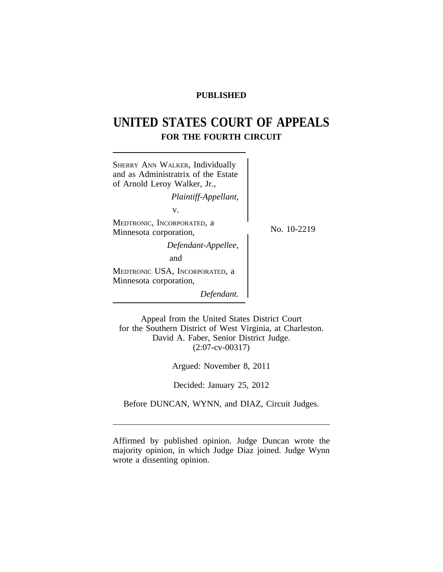# **PUBLISHED**

# **UNITED STATES COURT OF APPEALS FOR THE FOURTH CIRCUIT**



Appeal from the United States District Court for the Southern District of West Virginia, at Charleston. David A. Faber, Senior District Judge. (2:07-cv-00317)

Argued: November 8, 2011

Decided: January 25, 2012

Before DUNCAN, WYNN, and DIAZ, Circuit Judges.

Affirmed by published opinion. Judge Duncan wrote the majority opinion, in which Judge Diaz joined. Judge Wynn wrote a dissenting opinion.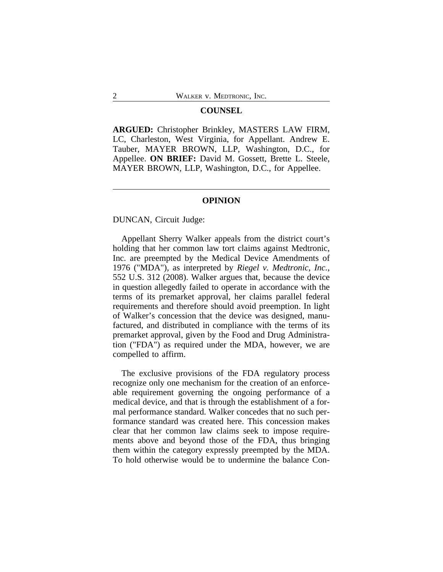#### **COUNSEL**

**ARGUED:** Christopher Brinkley, MASTERS LAW FIRM, LC, Charleston, West Virginia, for Appellant. Andrew E. Tauber, MAYER BROWN, LLP, Washington, D.C., for Appellee. **ON BRIEF:** David M. Gossett, Brette L. Steele, MAYER BROWN, LLP, Washington, D.C., for Appellee.

# **OPINION**

DUNCAN, Circuit Judge:

Appellant Sherry Walker appeals from the district court's holding that her common law tort claims against Medtronic, Inc. are preempted by the Medical Device Amendments of 1976 ("MDA"), as interpreted by *Riegel v. Medtronic, Inc.*, 552 U.S. 312 (2008). Walker argues that, because the device in question allegedly failed to operate in accordance with the terms of its premarket approval, her claims parallel federal requirements and therefore should avoid preemption. In light of Walker's concession that the device was designed, manufactured, and distributed in compliance with the terms of its premarket approval, given by the Food and Drug Administration ("FDA") as required under the MDA, however, we are compelled to affirm.

The exclusive provisions of the FDA regulatory process recognize only one mechanism for the creation of an enforceable requirement governing the ongoing performance of a medical device, and that is through the establishment of a formal performance standard. Walker concedes that no such performance standard was created here. This concession makes clear that her common law claims seek to impose requirements above and beyond those of the FDA, thus bringing them within the category expressly preempted by the MDA. To hold otherwise would be to undermine the balance Con-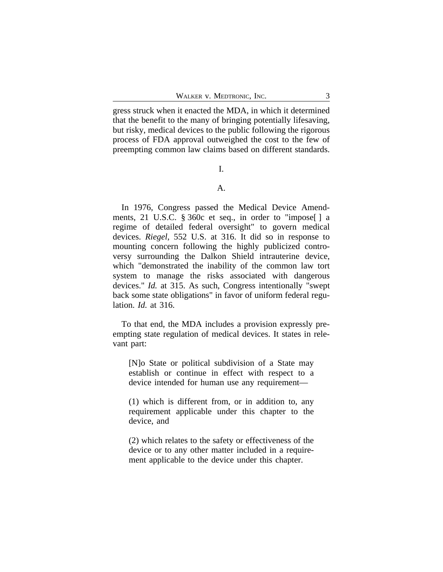gress struck when it enacted the MDA, in which it determined that the benefit to the many of bringing potentially lifesaving, but risky, medical devices to the public following the rigorous process of FDA approval outweighed the cost to the few of preempting common law claims based on different standards.

### I.

### A.

In 1976, Congress passed the Medical Device Amendments, 21 U.S.C. § 360c et seq., in order to "impose[ ] a regime of detailed federal oversight" to govern medical devices. *Riegel*, 552 U.S. at 316. It did so in response to mounting concern following the highly publicized controversy surrounding the Dalkon Shield intrauterine device, which "demonstrated the inability of the common law tort system to manage the risks associated with dangerous devices." *Id.* at 315. As such, Congress intentionally "swept back some state obligations" in favor of uniform federal regulation. *Id.* at 316.

To that end, the MDA includes a provision expressly preempting state regulation of medical devices. It states in relevant part:

[N]o State or political subdivision of a State may establish or continue in effect with respect to a device intended for human use any requirement—

(1) which is different from, or in addition to, any requirement applicable under this chapter to the device, and

(2) which relates to the safety or effectiveness of the device or to any other matter included in a requirement applicable to the device under this chapter.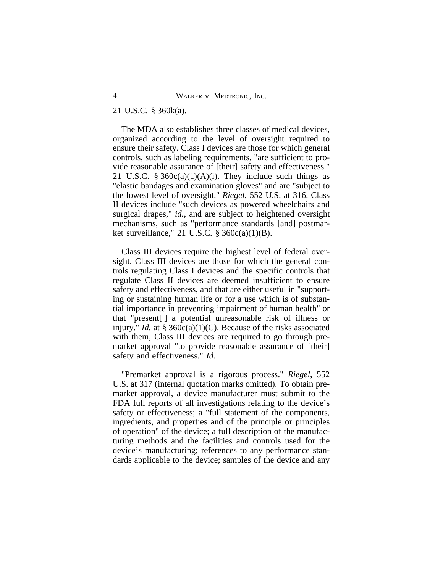#### 21 U.S.C. § 360k(a).

The MDA also establishes three classes of medical devices, organized according to the level of oversight required to ensure their safety. Class I devices are those for which general controls, such as labeling requirements, "are sufficient to provide reasonable assurance of [their] safety and effectiveness." 21 U.S.C.  $\S 360c(a)(1)(A)(i)$ . They include such things as "elastic bandages and examination gloves" and are "subject to the lowest level of oversight." *Riegel*, 552 U.S. at 316. Class II devices include "such devices as powered wheelchairs and surgical drapes," *id.*, and are subject to heightened oversight mechanisms, such as "performance standards [and] postmarket surveillance," 21 U.S.C.  $\S$  360c(a)(1)(B).

Class III devices require the highest level of federal oversight. Class III devices are those for which the general controls regulating Class I devices and the specific controls that regulate Class II devices are deemed insufficient to ensure safety and effectiveness, and that are either useful in "supporting or sustaining human life or for a use which is of substantial importance in preventing impairment of human health" or that "present[ ] a potential unreasonable risk of illness or injury." *Id.* at § 360c(a)(1)(C). Because of the risks associated with them, Class III devices are required to go through premarket approval "to provide reasonable assurance of [their] safety and effectiveness." *Id.*

"Premarket approval is a rigorous process." *Riegel*, 552 U.S. at 317 (internal quotation marks omitted). To obtain premarket approval, a device manufacturer must submit to the FDA full reports of all investigations relating to the device's safety or effectiveness; a "full statement of the components, ingredients, and properties and of the principle or principles of operation" of the device; a full description of the manufacturing methods and the facilities and controls used for the device's manufacturing; references to any performance standards applicable to the device; samples of the device and any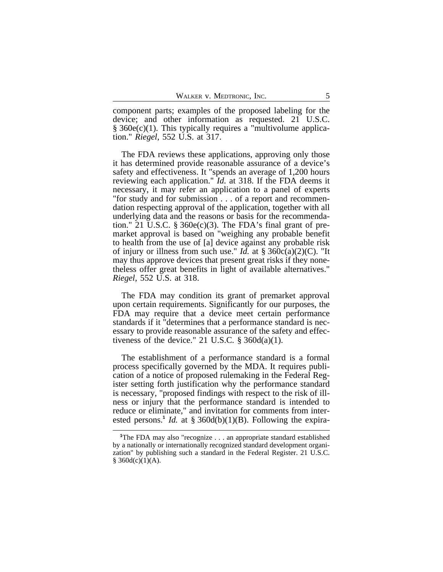component parts; examples of the proposed labeling for the device; and other information as requested. 21 U.S.C.  $§$  360e(c)(1). This typically requires a "multivolume application." *Riegel*, 552 U.S. at 317.

The FDA reviews these applications, approving only those it has determined provide reasonable assurance of a device's safety and effectiveness. It "spends an average of 1,200 hours reviewing each application." *Id.* at 318. If the FDA deems it necessary, it may refer an application to a panel of experts "for study and for submission . . . of a report and recommendation respecting approval of the application, together with all underlying data and the reasons or basis for the recommendation." 21 U.S.C.  $\S$  360e(c)(3). The FDA's final grant of premarket approval is based on "weighing any probable benefit to health from the use of [a] device against any probable risk of injury or illness from such use." *Id.* at  $\S 360c(a)(2)(C)$ . "It may thus approve devices that present great risks if they nonetheless offer great benefits in light of available alternatives." *Riegel*, 552 U.S. at 318.

The FDA may condition its grant of premarket approval upon certain requirements. Significantly for our purposes, the FDA may require that a device meet certain performance standards if it "determines that a performance standard is necessary to provide reasonable assurance of the safety and effectiveness of the device." 21 U.S.C.  $\S 360d(a)(1)$ .

The establishment of a performance standard is a formal process specifically governed by the MDA. It requires publication of a notice of proposed rulemaking in the Federal Register setting forth justification why the performance standard is necessary, "proposed findings with respect to the risk of illness or injury that the performance standard is intended to reduce or eliminate," and invitation for comments from interested persons.<sup>1</sup> *Id.* at § 360d(b)(1)(B). Following the expira-

<sup>&</sup>lt;sup>1</sup>The FDA may also "recognize . . . an appropriate standard established by a nationally or internationally recognized standard development organization" by publishing such a standard in the Federal Register. 21 U.S.C.  $§$  360d(c)(1)(A).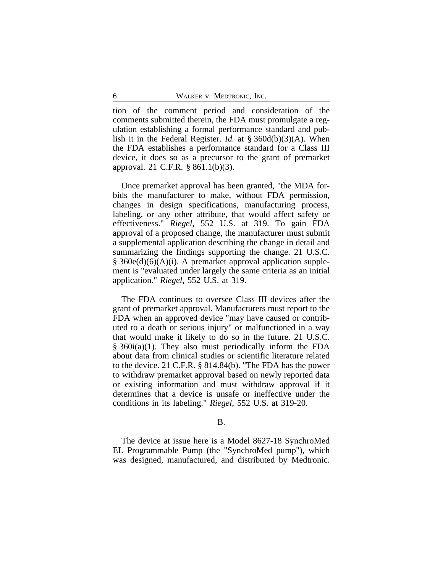tion of the comment period and consideration of the comments submitted therein, the FDA must promulgate a regulation establishing a formal performance standard and publish it in the Federal Register. *Id.* at § 360d(b)(3)(A). When the FDA establishes a performance standard for a Class III device, it does so as a precursor to the grant of premarket approval. 21 C.F.R. § 861.1(b)(3).

Once premarket approval has been granted, "the MDA forbids the manufacturer to make, without FDA permission, changes in design specifications, manufacturing process, labeling, or any other attribute, that would affect safety or effectiveness." *Riegel*, 552 U.S. at 319. To gain FDA approval of a proposed change, the manufacturer must submit a supplemental application describing the change in detail and summarizing the findings supporting the change. 21 U.S.C. § 360e(d)(6)(A)(i). A premarket approval application supplement is "evaluated under largely the same criteria as an initial application." *Riegel*, 552 U.S. at 319.

The FDA continues to oversee Class III devices after the grant of premarket approval. Manufacturers must report to the FDA when an approved device "may have caused or contributed to a death or serious injury" or malfunctioned in a way that would make it likely to do so in the future. 21 U.S.C. § 360i(a)(1). They also must periodically inform the FDA about data from clinical studies or scientific literature related to the device. 21 C.F.R. § 814.84(b). "The FDA has the power to withdraw premarket approval based on newly reported data or existing information and must withdraw approval if it determines that a device is unsafe or ineffective under the conditions in its labeling." *Riegel*, 552 U.S. at 319-20.

#### B.

The device at issue here is a Model 8627-18 SynchroMed EL Programmable Pump (the "SynchroMed pump"), which was designed, manufactured, and distributed by Medtronic.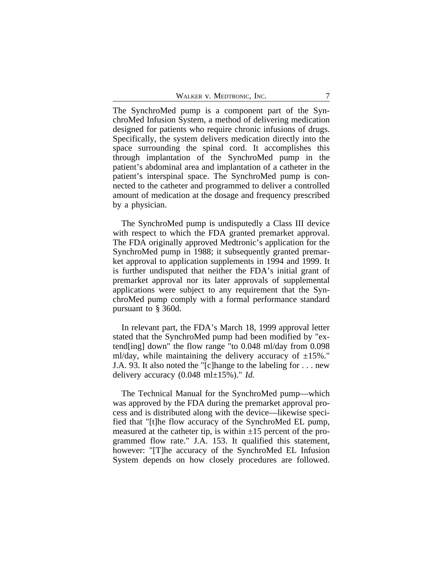The SynchroMed pump is a component part of the SynchroMed Infusion System, a method of delivering medication designed for patients who require chronic infusions of drugs. Specifically, the system delivers medication directly into the space surrounding the spinal cord. It accomplishes this through implantation of the SynchroMed pump in the patient's abdominal area and implantation of a catheter in the patient's interspinal space. The SynchroMed pump is connected to the catheter and programmed to deliver a controlled amount of medication at the dosage and frequency prescribed by a physician.

The SynchroMed pump is undisputedly a Class III device with respect to which the FDA granted premarket approval. The FDA originally approved Medtronic's application for the SynchroMed pump in 1988; it subsequently granted premarket approval to application supplements in 1994 and 1999. It is further undisputed that neither the FDA's initial grant of premarket approval nor its later approvals of supplemental applications were subject to any requirement that the SynchroMed pump comply with a formal performance standard pursuant to § 360d.

In relevant part, the FDA's March 18, 1999 approval letter stated that the SynchroMed pump had been modified by "extend[ing] down" the flow range "to 0.048 ml/day from 0.098 ml/day, while maintaining the delivery accuracy of  $\pm 15\%$ ." J.A. 93. It also noted the "[c]hange to the labeling for . . . new delivery accuracy (0.048 ml±15%)." *Id.*

The Technical Manual for the SynchroMed pump—which was approved by the FDA during the premarket approval process and is distributed along with the device—likewise specified that "[t]he flow accuracy of the SynchroMed EL pump, measured at the catheter tip, is within  $\pm 15$  percent of the programmed flow rate." J.A. 153. It qualified this statement, however: "[T]he accuracy of the SynchroMed EL Infusion System depends on how closely procedures are followed.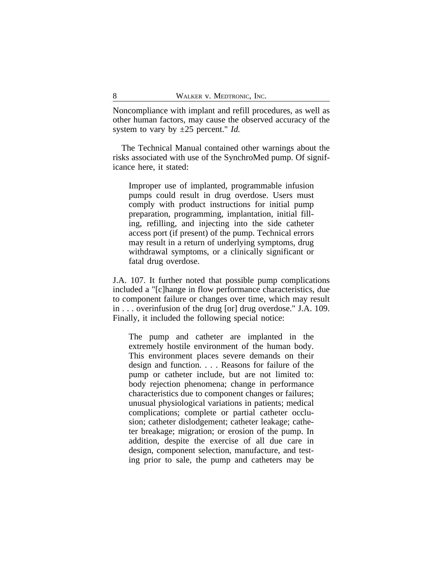Noncompliance with implant and refill procedures, as well as other human factors, may cause the observed accuracy of the system to vary by ±25 percent." *Id.*

The Technical Manual contained other warnings about the risks associated with use of the SynchroMed pump. Of significance here, it stated:

Improper use of implanted, programmable infusion pumps could result in drug overdose. Users must comply with product instructions for initial pump preparation, programming, implantation, initial filling, refilling, and injecting into the side catheter access port (if present) of the pump. Technical errors may result in a return of underlying symptoms, drug withdrawal symptoms, or a clinically significant or fatal drug overdose.

J.A. 107. It further noted that possible pump complications included a "[c]hange in flow performance characteristics, due to component failure or changes over time, which may result in . . . overinfusion of the drug [or] drug overdose." J.A. 109. Finally, it included the following special notice:

The pump and catheter are implanted in the extremely hostile environment of the human body. This environment places severe demands on their design and function. . . . Reasons for failure of the pump or catheter include, but are not limited to: body rejection phenomena; change in performance characteristics due to component changes or failures; unusual physiological variations in patients; medical complications; complete or partial catheter occlusion; catheter dislodgement; catheter leakage; catheter breakage; migration; or erosion of the pump. In addition, despite the exercise of all due care in design, component selection, manufacture, and testing prior to sale, the pump and catheters may be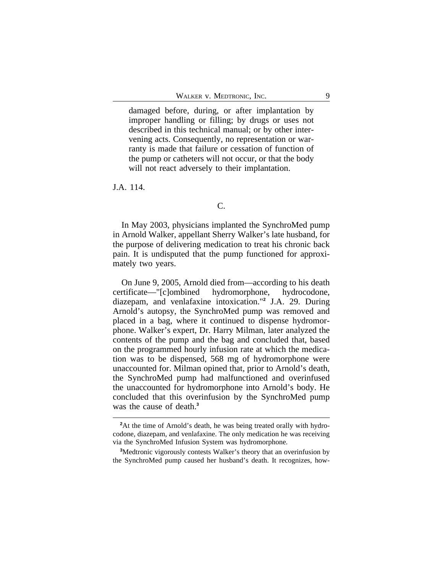damaged before, during, or after implantation by improper handling or filling; by drugs or uses not described in this technical manual; or by other intervening acts. Consequently, no representation or warranty is made that failure or cessation of function of the pump or catheters will not occur, or that the body will not react adversely to their implantation.

J.A. 114.

# C.

In May 2003, physicians implanted the SynchroMed pump in Arnold Walker, appellant Sherry Walker's late husband, for the purpose of delivering medication to treat his chronic back pain. It is undisputed that the pump functioned for approximately two years.

On June 9, 2005, Arnold died from—according to his death certificate—"[c]ombined hydromorphone, hydrocodone, diazepam, and venlafaxine intoxication."**<sup>2</sup>** J.A. 29. During Arnold's autopsy, the SynchroMed pump was removed and placed in a bag, where it continued to dispense hydromorphone. Walker's expert, Dr. Harry Milman, later analyzed the contents of the pump and the bag and concluded that, based on the programmed hourly infusion rate at which the medication was to be dispensed, 568 mg of hydromorphone were unaccounted for. Milman opined that, prior to Arnold's death, the SynchroMed pump had malfunctioned and overinfused the unaccounted for hydromorphone into Arnold's body. He concluded that this overinfusion by the SynchroMed pump was the cause of death.**<sup>3</sup>**

<sup>&</sup>lt;sup>2</sup>At the time of Arnold's death, he was being treated orally with hydrocodone, diazepam, and venlafaxine. The only medication he was receiving via the SynchroMed Infusion System was hydromorphone.

**<sup>3</sup>**Medtronic vigorously contests Walker's theory that an overinfusion by the SynchroMed pump caused her husband's death. It recognizes, how-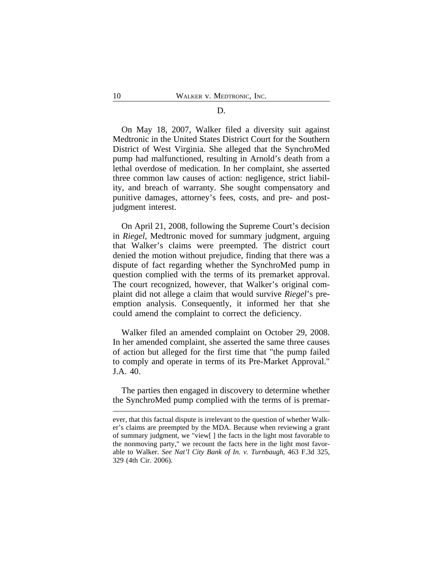# D.

On May 18, 2007, Walker filed a diversity suit against Medtronic in the United States District Court for the Southern District of West Virginia. She alleged that the SynchroMed pump had malfunctioned, resulting in Arnold's death from a lethal overdose of medication. In her complaint, she asserted three common law causes of action: negligence, strict liability, and breach of warranty. She sought compensatory and punitive damages, attorney's fees, costs, and pre- and postjudgment interest.

On April 21, 2008, following the Supreme Court's decision in *Riegel*, Medtronic moved for summary judgment, arguing that Walker's claims were preempted. The district court denied the motion without prejudice, finding that there was a dispute of fact regarding whether the SynchroMed pump in question complied with the terms of its premarket approval. The court recognized, however, that Walker's original complaint did not allege a claim that would survive *Riegel*'s preemption analysis. Consequently, it informed her that she could amend the complaint to correct the deficiency.

Walker filed an amended complaint on October 29, 2008. In her amended complaint, she asserted the same three causes of action but alleged for the first time that "the pump failed to comply and operate in terms of its Pre-Market Approval." J.A. 40.

The parties then engaged in discovery to determine whether the SynchroMed pump complied with the terms of is premar-

ever, that this factual dispute is irrelevant to the question of whether Walker's claims are preempted by the MDA. Because when reviewing a grant of summary judgment, we "view[ ] the facts in the light most favorable to the nonmoving party," we recount the facts here in the light most favorable to Walker. *See Nat'l City Bank of In. v. Turnbaugh*, 463 F.3d 325, 329 (4th Cir. 2006).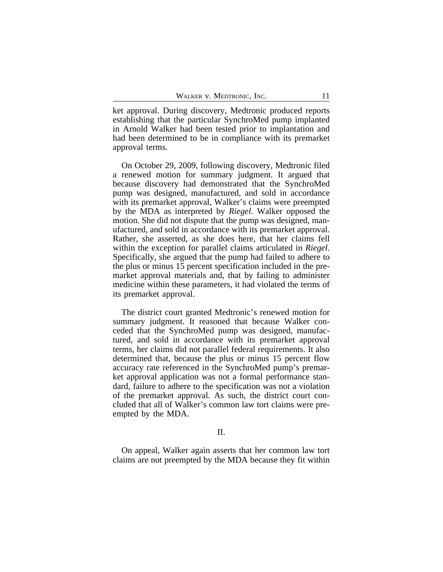ket approval. During discovery, Medtronic produced reports establishing that the particular SynchroMed pump implanted in Arnold Walker had been tested prior to implantation and had been determined to be in compliance with its premarket approval terms.

On October 29, 2009, following discovery, Medtronic filed a renewed motion for summary judgment. It argued that because discovery had demonstrated that the SynchroMed pump was designed, manufactured, and sold in accordance with its premarket approval, Walker's claims were preempted by the MDA as interpreted by *Riegel*. Walker opposed the motion. She did not dispute that the pump was designed, manufactured, and sold in accordance with its premarket approval. Rather, she asserted, as she does here, that her claims fell within the exception for parallel claims articulated in *Riegel*. Specifically, she argued that the pump had failed to adhere to the plus or minus 15 percent specification included in the premarket approval materials and, that by failing to administer medicine within these parameters, it had violated the terms of its premarket approval.

The district court granted Medtronic's renewed motion for summary judgment. It reasoned that because Walker conceded that the SynchroMed pump was designed, manufactured, and sold in accordance with its premarket approval terms, her claims did not parallel federal requirements. It also determined that, because the plus or minus 15 percent flow accuracy rate referenced in the SynchroMed pump's premarket approval application was not a formal performance standard, failure to adhere to the specification was not a violation of the premarket approval. As such, the district court concluded that all of Walker's common law tort claims were preempted by the MDA.

II.

On appeal, Walker again asserts that her common law tort claims are not preempted by the MDA because they fit within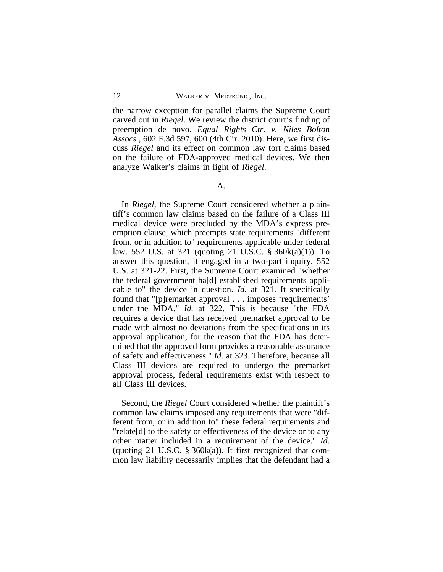the narrow exception for parallel claims the Supreme Court carved out in *Riegel*. We review the district court's finding of preemption de novo. *Equal Rights Ctr. v. Niles Bolton Assocs.*, 602 F.3d 597, 600 (4th Cir. 2010). Here, we first discuss *Riegel* and its effect on common law tort claims based on the failure of FDA-approved medical devices. We then analyze Walker's claims in light of *Riegel*.

#### A.

In *Riegel*, the Supreme Court considered whether a plaintiff's common law claims based on the failure of a Class III medical device were precluded by the MDA's express preemption clause, which preempts state requirements "different from, or in addition to" requirements applicable under federal law. 552 U.S. at 321 (quoting 21 U.S.C. § 360k(a)(1)). To answer this question, it engaged in a two-part inquiry. 552 U.S. at 321-22. First, the Supreme Court examined "whether the federal government ha[d] established requirements applicable to" the device in question. *Id.* at 321. It specifically found that "[p]remarket approval . . . imposes 'requirements' under the MDA." *Id.* at 322. This is because "the FDA requires a device that has received premarket approval to be made with almost no deviations from the specifications in its approval application, for the reason that the FDA has determined that the approved form provides a reasonable assurance of safety and effectiveness." *Id.* at 323. Therefore, because all Class III devices are required to undergo the premarket approval process, federal requirements exist with respect to all Class III devices.

Second, the *Riegel* Court considered whether the plaintiff's common law claims imposed any requirements that were "different from, or in addition to" these federal requirements and "relate[d] to the safety or effectiveness of the device or to any other matter included in a requirement of the device." *Id.* (quoting 21 U.S.C.  $\S 360k(a)$ ). It first recognized that common law liability necessarily implies that the defendant had a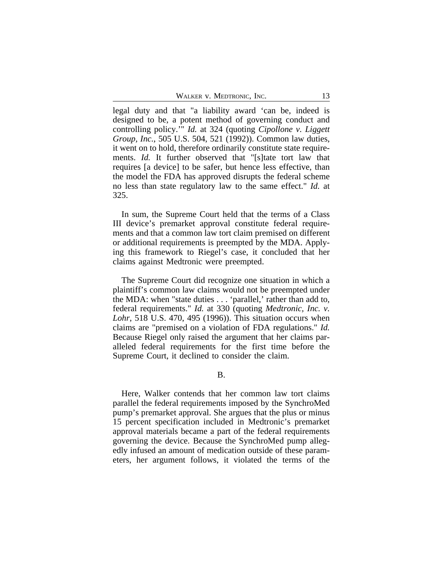WALKER V. MEDTRONIC, INC. 13

legal duty and that "a liability award 'can be, indeed is designed to be, a potent method of governing conduct and controlling policy.'" *Id.* at 324 (quoting *Cipollone v. Liggett Group, Inc.*, 505 U.S. 504, 521 (1992)). Common law duties, it went on to hold, therefore ordinarily constitute state requirements. *Id.* It further observed that "[s]tate tort law that requires [a device] to be safer, but hence less effective, than the model the FDA has approved disrupts the federal scheme no less than state regulatory law to the same effect." *Id.* at 325.

In sum, the Supreme Court held that the terms of a Class III device's premarket approval constitute federal requirements and that a common law tort claim premised on different or additional requirements is preempted by the MDA. Applying this framework to Riegel's case, it concluded that her claims against Medtronic were preempted.

The Supreme Court did recognize one situation in which a plaintiff's common law claims would not be preempted under the MDA: when "state duties . . . 'parallel,' rather than add to, federal requirements." *Id.* at 330 (quoting *Medtronic, Inc. v. Lohr*, 518 U.S. 470, 495 (1996)). This situation occurs when claims are "premised on a violation of FDA regulations." *Id.* Because Riegel only raised the argument that her claims paralleled federal requirements for the first time before the Supreme Court, it declined to consider the claim.

B.

Here, Walker contends that her common law tort claims parallel the federal requirements imposed by the SynchroMed pump's premarket approval. She argues that the plus or minus 15 percent specification included in Medtronic's premarket approval materials became a part of the federal requirements governing the device. Because the SynchroMed pump allegedly infused an amount of medication outside of these parameters, her argument follows, it violated the terms of the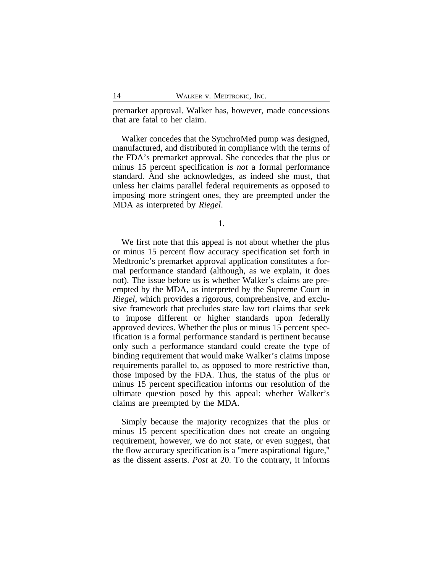premarket approval. Walker has, however, made concessions that are fatal to her claim.

Walker concedes that the SynchroMed pump was designed, manufactured, and distributed in compliance with the terms of the FDA's premarket approval. She concedes that the plus or minus 15 percent specification is *not* a formal performance standard. And she acknowledges, as indeed she must, that unless her claims parallel federal requirements as opposed to imposing more stringent ones, they are preempted under the MDA as interpreted by *Riegel*.

1.

We first note that this appeal is not about whether the plus or minus 15 percent flow accuracy specification set forth in Medtronic's premarket approval application constitutes a formal performance standard (although, as we explain, it does not). The issue before us is whether Walker's claims are preempted by the MDA, as interpreted by the Supreme Court in *Riegel*, which provides a rigorous, comprehensive, and exclusive framework that precludes state law tort claims that seek to impose different or higher standards upon federally approved devices. Whether the plus or minus 15 percent specification is a formal performance standard is pertinent because only such a performance standard could create the type of binding requirement that would make Walker's claims impose requirements parallel to, as opposed to more restrictive than, those imposed by the FDA. Thus, the status of the plus or minus 15 percent specification informs our resolution of the ultimate question posed by this appeal: whether Walker's claims are preempted by the MDA.

Simply because the majority recognizes that the plus or minus 15 percent specification does not create an ongoing requirement, however, we do not state, or even suggest, that the flow accuracy specification is a "mere aspirational figure," as the dissent asserts. *Post* at 20. To the contrary, it informs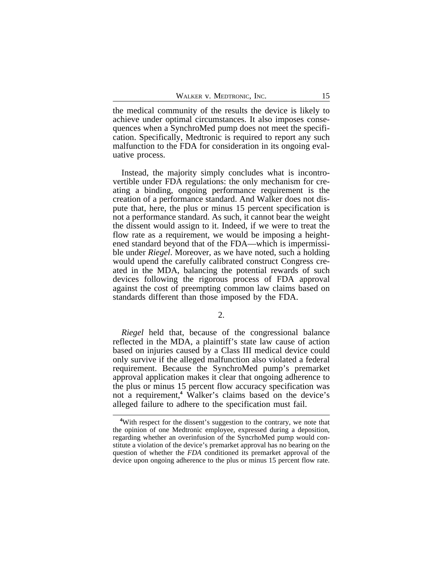the medical community of the results the device is likely to achieve under optimal circumstances. It also imposes consequences when a SynchroMed pump does not meet the specification. Specifically, Medtronic is required to report any such malfunction to the FDA for consideration in its ongoing evaluative process.

Instead, the majority simply concludes what is incontrovertible under FDA regulations: the only mechanism for creating a binding, ongoing performance requirement is the creation of a performance standard. And Walker does not dispute that, here, the plus or minus 15 percent specification is not a performance standard. As such, it cannot bear the weight the dissent would assign to it. Indeed, if we were to treat the flow rate as a requirement, we would be imposing a heightened standard beyond that of the FDA—which is impermissible under *Riegel*. Moreover, as we have noted, such a holding would upend the carefully calibrated construct Congress created in the MDA, balancing the potential rewards of such devices following the rigorous process of FDA approval against the cost of preempting common law claims based on standards different than those imposed by the FDA.

*Riegel* held that, because of the congressional balance reflected in the MDA, a plaintiff's state law cause of action based on injuries caused by a Class III medical device could only survive if the alleged malfunction also violated a federal requirement. Because the SynchroMed pump's premarket approval application makes it clear that ongoing adherence to the plus or minus 15 percent flow accuracy specification was not a requirement,**<sup>4</sup>** Walker's claims based on the device's alleged failure to adhere to the specification must fail.

**<sup>4</sup>**With respect for the dissent's suggestion to the contrary, we note that the opinion of one Medtronic employee, expressed during a deposition, regarding whether an overinfusion of the SyncrhoMed pump would constitute a violation of the device's premarket approval has no bearing on the question of whether the *FDA* conditioned its premarket approval of the device upon ongoing adherence to the plus or minus 15 percent flow rate.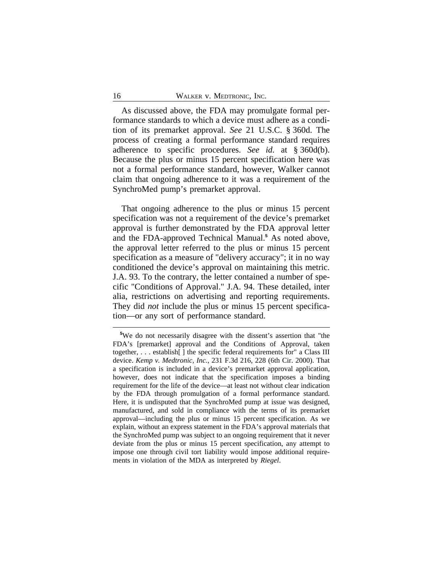As discussed above, the FDA may promulgate formal performance standards to which a device must adhere as a condition of its premarket approval. *See* 21 U.S.C. § 360d. The process of creating a formal performance standard requires adherence to specific procedures. *See id.* at § 360d(b). Because the plus or minus 15 percent specification here was not a formal performance standard, however, Walker cannot claim that ongoing adherence to it was a requirement of the SynchroMed pump's premarket approval.

That ongoing adherence to the plus or minus 15 percent specification was not a requirement of the device's premarket approval is further demonstrated by the FDA approval letter and the FDA-approved Technical Manual.**<sup>5</sup>** As noted above, the approval letter referred to the plus or minus 15 percent specification as a measure of "delivery accuracy"; it in no way conditioned the device's approval on maintaining this metric. J.A. 93. To the contrary, the letter contained a number of specific "Conditions of Approval." J.A. 94. These detailed, inter alia, restrictions on advertising and reporting requirements. They did *not* include the plus or minus 15 percent specification—or any sort of performance standard.

**<sup>5</sup>**We do not necessarily disagree with the dissent's assertion that "the FDA's [premarket] approval and the Conditions of Approval, taken together, . . . establish[ ] the specific federal requirements for" a Class III device. *Kemp v. Medtronic, Inc.*, 231 F.3d 216, 228 (6th Cir. 2000). That a specification is included in a device's premarket approval application, however, does not indicate that the specification imposes a binding requirement for the life of the device—at least not without clear indication by the FDA through promulgation of a formal performance standard. Here, it is undisputed that the SynchroMed pump at issue was designed, manufactured, and sold in compliance with the terms of its premarket approval—including the plus or minus 15 percent specification. As we explain, without an express statement in the FDA's approval materials that the SynchroMed pump was subject to an ongoing requirement that it never deviate from the plus or minus 15 percent specification, any attempt to impose one through civil tort liability would impose additional requirements in violation of the MDA as interpreted by *Riegel*.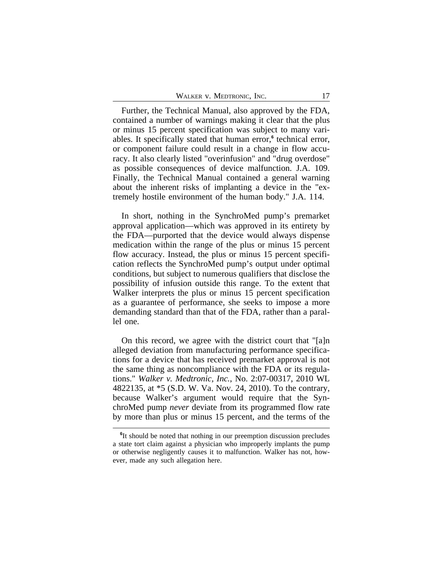Further, the Technical Manual, also approved by the FDA, contained a number of warnings making it clear that the plus or minus 15 percent specification was subject to many variables. It specifically stated that human error,**<sup>6</sup>** technical error, or component failure could result in a change in flow accuracy. It also clearly listed "overinfusion" and "drug overdose" as possible consequences of device malfunction. J.A. 109. Finally, the Technical Manual contained a general warning about the inherent risks of implanting a device in the "extremely hostile environment of the human body." J.A. 114.

In short, nothing in the SynchroMed pump's premarket approval application—which was approved in its entirety by the FDA—purported that the device would always dispense medication within the range of the plus or minus 15 percent flow accuracy. Instead, the plus or minus 15 percent specification reflects the SynchroMed pump's output under optimal conditions, but subject to numerous qualifiers that disclose the possibility of infusion outside this range. To the extent that Walker interprets the plus or minus 15 percent specification as a guarantee of performance, she seeks to impose a more demanding standard than that of the FDA, rather than a parallel one.

On this record, we agree with the district court that "[a]n alleged deviation from manufacturing performance specifications for a device that has received premarket approval is not the same thing as noncompliance with the FDA or its regulations." *Walker v. Medtronic, Inc.*, No. 2:07-00317, 2010 WL 4822135, at \*5 (S.D. W. Va. Nov. 24, 2010). To the contrary, because Walker's argument would require that the SynchroMed pump *never* deviate from its programmed flow rate by more than plus or minus 15 percent, and the terms of the

**<sup>6</sup>** It should be noted that nothing in our preemption discussion precludes a state tort claim against a physician who improperly implants the pump or otherwise negligently causes it to malfunction. Walker has not, however, made any such allegation here.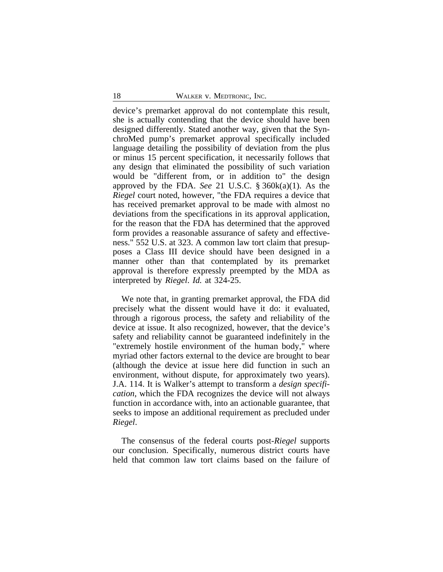device's premarket approval do not contemplate this result, she is actually contending that the device should have been designed differently. Stated another way, given that the SynchroMed pump's premarket approval specifically included language detailing the possibility of deviation from the plus or minus 15 percent specification, it necessarily follows that any design that eliminated the possibility of such variation would be "different from, or in addition to" the design approved by the FDA. *See* 21 U.S.C. § 360k(a)(1). As the *Riegel* court noted, however, "the FDA requires a device that has received premarket approval to be made with almost no deviations from the specifications in its approval application, for the reason that the FDA has determined that the approved form provides a reasonable assurance of safety and effectiveness." 552 U.S. at 323. A common law tort claim that presupposes a Class III device should have been designed in a manner other than that contemplated by its premarket approval is therefore expressly preempted by the MDA as interpreted by *Riegel*. *Id.* at 324-25.

We note that, in granting premarket approval, the FDA did precisely what the dissent would have it do: it evaluated, through a rigorous process, the safety and reliability of the device at issue. It also recognized, however, that the device's safety and reliability cannot be guaranteed indefinitely in the "extremely hostile environment of the human body," where myriad other factors external to the device are brought to bear (although the device at issue here did function in such an environment, without dispute, for approximately two years). J.A. 114. It is Walker's attempt to transform a *design specification*, which the FDA recognizes the device will not always function in accordance with, into an actionable guarantee, that seeks to impose an additional requirement as precluded under *Riegel*.

The consensus of the federal courts post-*Riegel* supports our conclusion. Specifically, numerous district courts have held that common law tort claims based on the failure of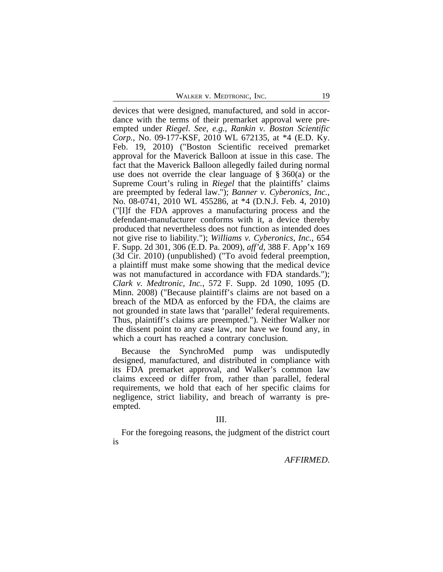WALKER V. MEDTRONIC, INC. 19

devices that were designed, manufactured, and sold in accordance with the terms of their premarket approval were preempted under *Riegel*. *See, e.g.*, *Rankin v. Boston Scientific Corp.*, No. 09-177-KSF, 2010 WL 672135, at \*4 (E.D. Ky. Feb. 19, 2010) ("Boston Scientific received premarket approval for the Maverick Balloon at issue in this case. The fact that the Maverick Balloon allegedly failed during normal use does not override the clear language of  $\S 360(a)$  or the Supreme Court's ruling in *Riegel* that the plaintiffs' claims are preempted by federal law."); *Banner v. Cyberonics, Inc.*, No. 08-0741, 2010 WL 455286, at \*4 (D.N.J. Feb. 4, 2010) ("[I]f the FDA approves a manufacturing process and the defendant-manufacturer conforms with it, a device thereby produced that nevertheless does not function as intended does not give rise to liability."); *Williams v. Cyberonics, Inc.*, 654 F. Supp. 2d 301, 306 (E.D. Pa. 2009), *aff'd*, 388 F. App'x 169 (3d Cir. 2010) (unpublished) ("To avoid federal preemption, a plaintiff must make some showing that the medical device was not manufactured in accordance with FDA standards."); *Clark v. Medtronic, Inc.*, 572 F. Supp. 2d 1090, 1095 (D. Minn. 2008) ("Because plaintiff's claims are not based on a breach of the MDA as enforced by the FDA, the claims are not grounded in state laws that 'parallel' federal requirements. Thus, plaintiff's claims are preempted."). Neither Walker nor the dissent point to any case law, nor have we found any, in which a court has reached a contrary conclusion.

Because the SynchroMed pump was undisputedly designed, manufactured, and distributed in compliance with its FDA premarket approval, and Walker's common law claims exceed or differ from, rather than parallel, federal requirements, we hold that each of her specific claims for negligence, strict liability, and breach of warranty is preempted.

### III.

For the foregoing reasons, the judgment of the district court is

*AFFIRMED*.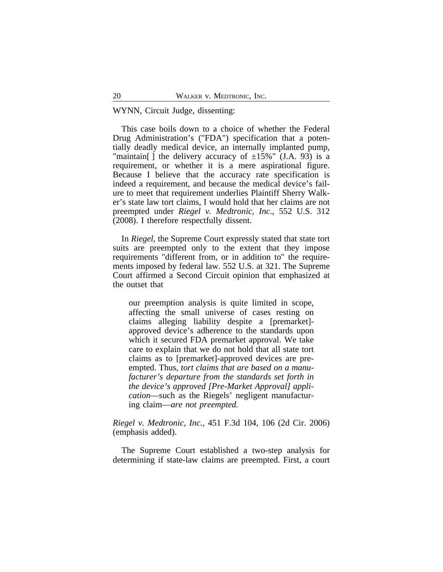## WYNN, Circuit Judge, dissenting:

This case boils down to a choice of whether the Federal Drug Administration's ("FDA") specification that a potentially deadly medical device, an internally implanted pump, "maintain[] the delivery accuracy of  $\pm 15\%$ " (J.A. 93) is a requirement, or whether it is a mere aspirational figure. Because I believe that the accuracy rate specification is indeed a requirement, and because the medical device's failure to meet that requirement underlies Plaintiff Sherry Walker's state law tort claims, I would hold that her claims are not preempted under *Riegel v. Medtronic, Inc.*, 552 U.S. 312 (2008). I therefore respectfully dissent.

In *Riegel*, the Supreme Court expressly stated that state tort suits are preempted only to the extent that they impose requirements "different from, or in addition to" the requirements imposed by federal law. 552 U.S. at 321. The Supreme Court affirmed a Second Circuit opinion that emphasized at the outset that

our preemption analysis is quite limited in scope, affecting the small universe of cases resting on claims alleging liability despite a [premarket] approved device's adherence to the standards upon which it secured FDA premarket approval. We take care to explain that we do not hold that all state tort claims as to [premarket]-approved devices are preempted. Thus, *tort claims that are based on a manufacturer's departure from the standards set forth in the device's approved [Pre-Market Approval] application*—such as the Riegels' negligent manufacturing claim—*are not preempted.*

*Riegel v. Medtronic, Inc.*, 451 F.3d 104, 106 (2d Cir. 2006) (emphasis added).

The Supreme Court established a two-step analysis for determining if state-law claims are preempted. First, a court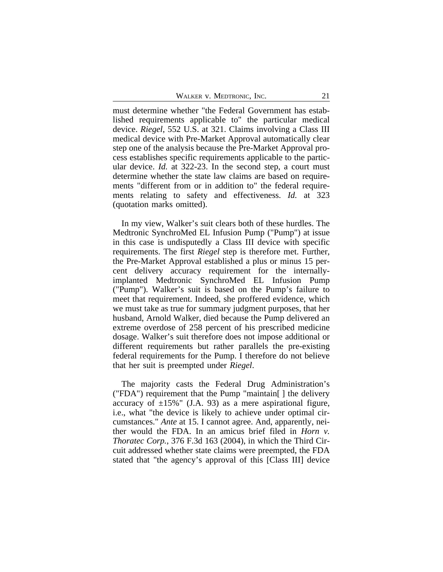WALKER V. MEDTRONIC, INC. 21

must determine whether "the Federal Government has established requirements applicable to" the particular medical device. *Riegel*, 552 U.S. at 321. Claims involving a Class III medical device with Pre-Market Approval automatically clear step one of the analysis because the Pre-Market Approval process establishes specific requirements applicable to the particular device. *Id.* at 322-23. In the second step, a court must determine whether the state law claims are based on requirements "different from or in addition to" the federal requirements relating to safety and effectiveness. *Id.* at 323 (quotation marks omitted).

In my view, Walker's suit clears both of these hurdles. The Medtronic SynchroMed EL Infusion Pump ("Pump") at issue in this case is undisputedly a Class III device with specific requirements. The first *Riegel* step is therefore met. Further, the Pre-Market Approval established a plus or minus 15 percent delivery accuracy requirement for the internallyimplanted Medtronic SynchroMed EL Infusion Pump ("Pump"). Walker's suit is based on the Pump's failure to meet that requirement. Indeed, she proffered evidence, which we must take as true for summary judgment purposes, that her husband, Arnold Walker, died because the Pump delivered an extreme overdose of 258 percent of his prescribed medicine dosage. Walker's suit therefore does not impose additional or different requirements but rather parallels the pre-existing federal requirements for the Pump. I therefore do not believe that her suit is preempted under *Riegel*.

The majority casts the Federal Drug Administration's ("FDA") requirement that the Pump "maintain[ ] the delivery accuracy of  $\pm 15\%$ " (J.A. 93) as a mere aspirational figure, i.e., what "the device is likely to achieve under optimal circumstances." *Ante* at 15. I cannot agree. And, apparently, neither would the FDA. In an amicus brief filed in *Horn v. Thoratec Corp.*, 376 F.3d 163 (2004), in which the Third Circuit addressed whether state claims were preempted, the FDA stated that "the agency's approval of this [Class III] device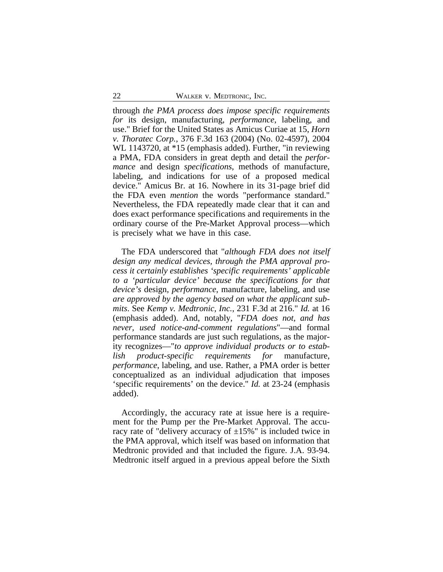through *the PMA process does impose specific requirements for* its design, manufacturing, *performance*, labeling, and use." Brief for the United States as Amicus Curiae at 15, *Horn v. Thoratec Corp.*, 376 F.3d 163 (2004) (No. 02-4597), 2004 WL 1143720, at \*15 (emphasis added). Further, "in reviewing a PMA, FDA considers in great depth and detail the *performance* and design *specifications*, methods of manufacture, labeling, and indications for use of a proposed medical device." Amicus Br. at 16. Nowhere in its 31-page brief did the FDA even *mention* the words "performance standard." Nevertheless, the FDA repeatedly made clear that it can and does exact performance specifications and requirements in the ordinary course of the Pre-Market Approval process—which is precisely what we have in this case.

The FDA underscored that "*although FDA does not itself design any medical devices, through the PMA approval process it certainly establishes 'specific requirements' applicable to a 'particular device' because the specifications for that device's* design, *performance*, manufacture, labeling, and use *are approved by the agency based on what the applicant submits*. See *Kemp v. Medtronic, Inc.*, 231 F.3d at 216." *Id.* at 16 (emphasis added). And, notably, "*FDA does not, and has never, used notice-and-comment regulations*"—and formal performance standards are just such regulations, as the majority recognizes—"*to approve individual products or to establish product-specific requirements for* manufacture, *performance*, labeling, and use. Rather, a PMA order is better conceptualized as an individual adjudication that imposes 'specific requirements' on the device." *Id.* at 23-24 (emphasis added).

Accordingly, the accuracy rate at issue here is a requirement for the Pump per the Pre-Market Approval. The accuracy rate of "delivery accuracy of  $\pm 15\%$ " is included twice in the PMA approval, which itself was based on information that Medtronic provided and that included the figure. J.A. 93-94. Medtronic itself argued in a previous appeal before the Sixth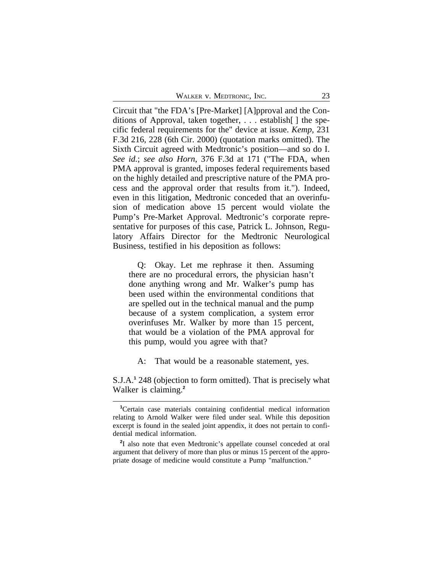| WALKER V. MEDTRONIC, INC. |  |  |
|---------------------------|--|--|
|---------------------------|--|--|

Circuit that "the FDA's [Pre-Market] [A]pproval and the Conditions of Approval, taken together, . . . establish[ ] the specific federal requirements for the" device at issue. *Kemp*, 231 F.3d 216, 228 (6th Cir. 2000) (quotation marks omitted). The Sixth Circuit agreed with Medtronic's position—and so do I. *See id.*; *see also Horn*, 376 F.3d at 171 ("The FDA, when PMA approval is granted, imposes federal requirements based on the highly detailed and prescriptive nature of the PMA process and the approval order that results from it."). Indeed, even in this litigation, Medtronic conceded that an overinfusion of medication above 15 percent would violate the Pump's Pre-Market Approval. Medtronic's corporate representative for purposes of this case, Patrick L. Johnson, Regulatory Affairs Director for the Medtronic Neurological Business, testified in his deposition as follows:

Q: Okay. Let me rephrase it then. Assuming there are no procedural errors, the physician hasn't done anything wrong and Mr. Walker's pump has been used within the environmental conditions that are spelled out in the technical manual and the pump because of a system complication, a system error overinfuses Mr. Walker by more than 15 percent, that would be a violation of the PMA approval for this pump, would you agree with that?

A: That would be a reasonable statement, yes.

S.J.A.**<sup>1</sup>** 248 (objection to form omitted). That is precisely what Walker is claiming.**<sup>2</sup>**

**<sup>1</sup>**Certain case materials containing confidential medical information relating to Arnold Walker were filed under seal. While this deposition excerpt is found in the sealed joint appendix, it does not pertain to confidential medical information.

**<sup>2</sup>** I also note that even Medtronic's appellate counsel conceded at oral argument that delivery of more than plus or minus 15 percent of the appropriate dosage of medicine would constitute a Pump "malfunction."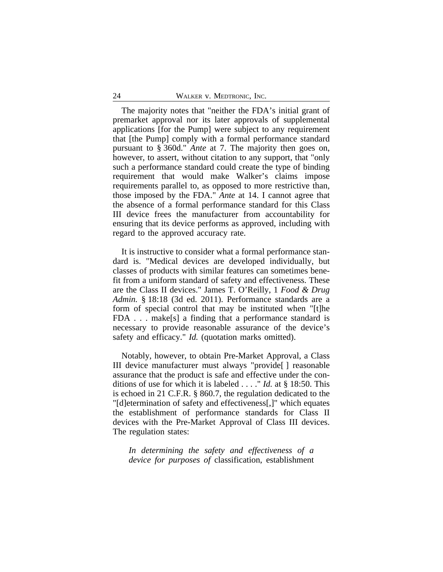The majority notes that "neither the FDA's initial grant of premarket approval nor its later approvals of supplemental applications [for the Pump] were subject to any requirement that [the Pump] comply with a formal performance standard pursuant to § 360d." *Ante* at 7. The majority then goes on, however, to assert, without citation to any support, that "only such a performance standard could create the type of binding requirement that would make Walker's claims impose requirements parallel to, as opposed to more restrictive than, those imposed by the FDA." *Ante* at 14. I cannot agree that the absence of a formal performance standard for this Class III device frees the manufacturer from accountability for ensuring that its device performs as approved, including with regard to the approved accuracy rate.

It is instructive to consider what a formal performance standard is. "Medical devices are developed individually, but classes of products with similar features can sometimes benefit from a uniform standard of safety and effectiveness. These are the Class II devices." James T. O'Reilly, 1 *Food & Drug Admin.* § 18:18 (3d ed. 2011). Performance standards are a form of special control that may be instituted when "[t]he FDA . . . make[s] a finding that a performance standard is necessary to provide reasonable assurance of the device's safety and efficacy." *Id.* (quotation marks omitted).

Notably, however, to obtain Pre-Market Approval, a Class III device manufacturer must always "provide[ ] reasonable assurance that the product is safe and effective under the conditions of use for which it is labeled . . . ." *Id.* at § 18:50. This is echoed in 21 C.F.R. § 860.7, the regulation dedicated to the "[d]etermination of safety and effectiveness[,]" which equates the establishment of performance standards for Class II devices with the Pre-Market Approval of Class III devices. The regulation states:

*In determining the safety and effectiveness of a device for purposes of* classification, establishment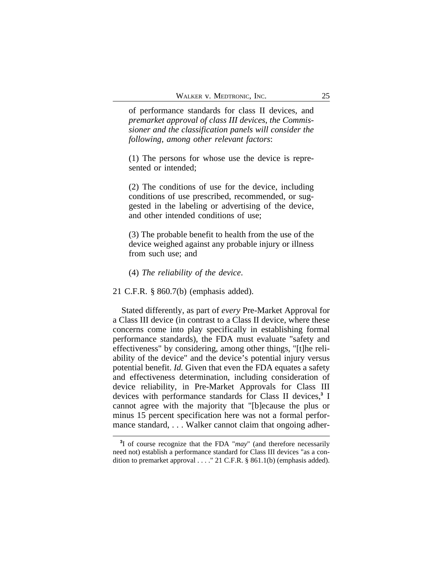of performance standards for class II devices, and *premarket approval of class III devices*, *the Commissioner and the classification panels will consider the following, among other relevant factors*:

(1) The persons for whose use the device is represented or intended;

(2) The conditions of use for the device, including conditions of use prescribed, recommended, or suggested in the labeling or advertising of the device, and other intended conditions of use;

(3) The probable benefit to health from the use of the device weighed against any probable injury or illness from such use; and

#### (4) *The reliability of the device*.

#### 21 C.F.R. § 860.7(b) (emphasis added).

Stated differently, as part of *every* Pre-Market Approval for a Class III device (in contrast to a Class II device, where these concerns come into play specifically in establishing formal performance standards), the FDA must evaluate "safety and effectiveness" by considering, among other things, "[t]he reliability of the device" and the device's potential injury versus potential benefit. *Id.* Given that even the FDA equates a safety and effectiveness determination, including consideration of device reliability, in Pre-Market Approvals for Class III devices with performance standards for Class II devices,**<sup>3</sup>** I cannot agree with the majority that "[b]ecause the plus or minus 15 percent specification here was not a formal performance standard, ... Walker cannot claim that ongoing adher-

**<sup>3</sup>** I of course recognize that the FDA "*may*" (and therefore necessarily need not) establish a performance standard for Class III devices "as a condition to premarket approval . . . ." 21 C.F.R. § 861.1(b) (emphasis added).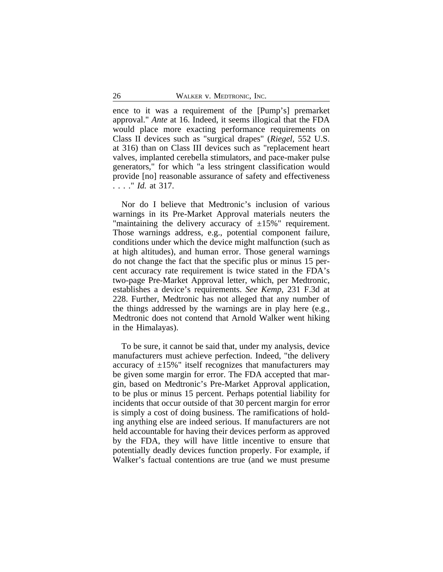ence to it was a requirement of the [Pump's] premarket approval." *Ante* at 16. Indeed, it seems illogical that the FDA would place more exacting performance requirements on Class II devices such as "surgical drapes" (*Riegel*, 552 U.S. at 316) than on Class III devices such as "replacement heart valves, implanted cerebella stimulators, and pace-maker pulse generators," for which "a less stringent classification would provide [no] reasonable assurance of safety and effectiveness . . . ." *Id.* at 317.

Nor do I believe that Medtronic's inclusion of various warnings in its Pre-Market Approval materials neuters the "maintaining the delivery accuracy of  $\pm 15\%$ " requirement. Those warnings address, e.g., potential component failure, conditions under which the device might malfunction (such as at high altitudes), and human error. Those general warnings do not change the fact that the specific plus or minus 15 percent accuracy rate requirement is twice stated in the FDA's two-page Pre-Market Approval letter, which, per Medtronic, establishes a device's requirements. *See Kemp*, 231 F.3d at 228. Further, Medtronic has not alleged that any number of the things addressed by the warnings are in play here (e.g., Medtronic does not contend that Arnold Walker went hiking in the Himalayas).

To be sure, it cannot be said that, under my analysis, device manufacturers must achieve perfection. Indeed, "the delivery accuracy of  $\pm 15\%$ " itself recognizes that manufacturers may be given some margin for error. The FDA accepted that margin, based on Medtronic's Pre-Market Approval application, to be plus or minus 15 percent. Perhaps potential liability for incidents that occur outside of that 30 percent margin for error is simply a cost of doing business. The ramifications of holding anything else are indeed serious. If manufacturers are not held accountable for having their devices perform as approved by the FDA, they will have little incentive to ensure that potentially deadly devices function properly. For example, if Walker's factual contentions are true (and we must presume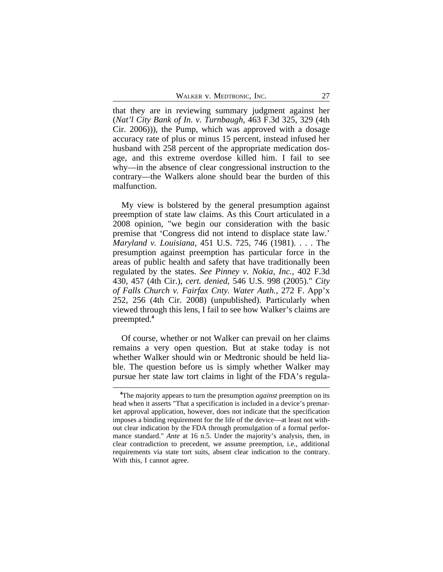that they are in reviewing summary judgment against her (*Nat'l City Bank of In. v. Turnbaugh*, 463 F.3d 325, 329 (4th Cir. 2006))), the Pump, which was approved with a dosage accuracy rate of plus or minus 15 percent, instead infused her husband with 258 percent of the appropriate medication dosage, and this extreme overdose killed him. I fail to see why—in the absence of clear congressional instruction to the contrary—the Walkers alone should bear the burden of this malfunction.

My view is bolstered by the general presumption against preemption of state law claims. As this Court articulated in a 2008 opinion, "we begin our consideration with the basic premise that 'Congress did not intend to displace state law.' *Maryland v. Louisiana*, 451 U.S. 725, 746 (1981). . . . The presumption against preemption has particular force in the areas of public health and safety that have traditionally been regulated by the states. *See Pinney v. Nokia, Inc.*, 402 F.3d 430, 457 (4th Cir.), *cert. denied*, 546 U.S. 998 (2005)." *City of Falls Church v. Fairfax Cnty. Water Auth.*, 272 F. App'x 252, 256 (4th Cir. 2008) (unpublished). Particularly when viewed through this lens, I fail to see how Walker's claims are preempted.**<sup>4</sup>**

Of course, whether or not Walker can prevail on her claims remains a very open question. But at stake today is not whether Walker should win or Medtronic should be held liable. The question before us is simply whether Walker may pursue her state law tort claims in light of the FDA's regula-

**<sup>4</sup>**The majority appears to turn the presumption *against* preemption on its head when it asserts "That a specification is included in a device's premarket approval application, however, does not indicate that the specification imposes a binding requirement for the life of the device—at least not without clear indication by the FDA through promulgation of a formal performance standard." *Ante* at 16 n.5. Under the majority's analysis, then, in clear contradiction to precedent, we assume preemption, i.e., additional requirements via state tort suits, absent clear indication to the contrary. With this, I cannot agree.